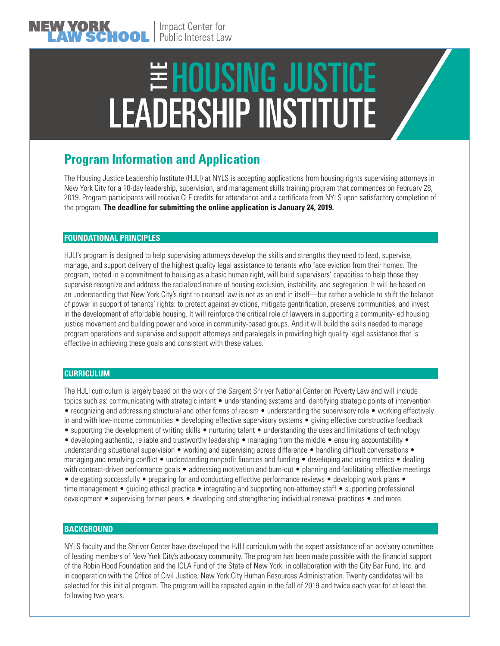# E HOUSING JUSTICE<br>LEADERSHIP INSTITUTE

# **Program Information and Application**

The Housing Justice Leadership Institute (HJLI) at NYLS is accepting applications from housing rights supervising attorneys in New York City for a 10-day leadership, supervision, and management skills training program that commences on February 28, 2019. Program participants will receive CLE credits for attendance and a certificate from NYLS upon satisfactory completion of the program. **The deadline for submitting the online application is January 24, 2019.**

## **FOUNDATIONAL PRINCIPLES**

HJLI's program is designed to help supervising attorneys develop the skills and strengths they need to lead, supervise, manage, and support delivery of the highest quality legal assistance to tenants who face eviction from their homes. The program, rooted in a commitment to housing as a basic human right, will build supervisors' capacities to help those they supervise recognize and address the racialized nature of housing exclusion, instability, and segregation. It will be based on an understanding that New York City's right to counsel law is not as an end in itself—but rather a vehicle to shift the balance of power in support of tenants' rights: to protect against evictions, mitigate gentrification, preserve communities, and invest in the development of affordable housing. It will reinforce the critical role of lawyers in supporting a community-led housing justice movement and building power and voice in community-based groups. And it will build the skills needed to manage program operations and supervise and support attorneys and paralegals in providing high quality legal assistance that is effective in achieving these goals and consistent with these values.

### **CURRICULUM**

The HJLI curriculum is largely based on the work of the Sargent Shriver National Center on Poverty Law and will include topics such as: communicating with strategic intent • understanding systems and identifying strategic points of intervention • recognizing and addressing structural and other forms of racism • understanding the supervisory role • working effectively in and with low-income communities • developing effective supervisory systems • giving effective constructive feedback • supporting the development of writing skills • nurturing talent • understanding the uses and limitations of technology • developing authentic, reliable and trustworthy leadership • managing from the middle • ensuring accountability • understanding situational supervision • working and supervising across difference • handling difficult conversations • managing and resolving conflict • understanding nonprofit finances and funding • developing and using metrics • dealing with contract-driven performance goals • addressing motivation and burn-out • planning and facilitating effective meetings • delegating successfully • preparing for and conducting effective performance reviews • developing work plans • time management • guiding ethical practice • integrating and supporting non-attorney staff • supporting professional

development • supervising former peers • developing and strengthening individual renewal practices • and more.

### **BACKGROUND**

NYLS faculty and the Shriver Center have developed the HJLI curriculum with the expert assistance of an advisory committee of leading members of New York City's advocacy community. The program has been made possible with the financial support of the Robin Hood Foundation and the IOLA Fund of the State of New York, in collaboration with the City Bar Fund, Inc. and in cooperation with the Office of Civil Justice, New York City Human Resources Administration. Twenty candidates will be selected for this initial program. The program will be repeated again in the fall of 2019 and twice each year for at least the following two years.